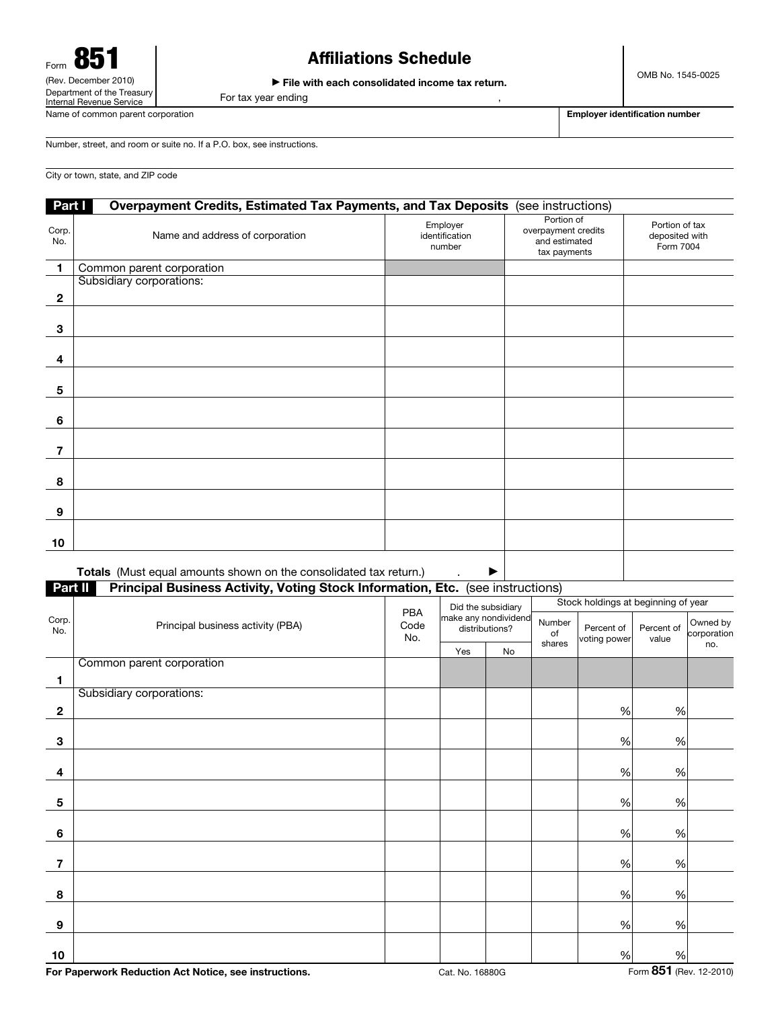# Affiliations Schedule

▶ File with each consolidated income tax return.

For tax year ending ,

Name of common parent corporation extension Employer identification number

Number, street, and room or suite no. If a P.O. box, see instructions.

City or town, state, and ZIP code

|              | Part I<br>Overpayment Credits, Estimated Tax Payments, and Tax Deposits<br>(see instructions) |                                      |                                                                    |                                               |  |  |  |  |
|--------------|-----------------------------------------------------------------------------------------------|--------------------------------------|--------------------------------------------------------------------|-----------------------------------------------|--|--|--|--|
| Corp.<br>No. | Name and address of corporation                                                               | Employer<br>identification<br>number | Portion of<br>overpayment credits<br>and estimated<br>tax payments | Portion of tax<br>deposited with<br>Form 7004 |  |  |  |  |
| 1            | Common parent corporation                                                                     |                                      |                                                                    |                                               |  |  |  |  |
|              | Subsidiary corporations:                                                                      |                                      |                                                                    |                                               |  |  |  |  |
| $\mathbf{2}$ |                                                                                               |                                      |                                                                    |                                               |  |  |  |  |
| 3            |                                                                                               |                                      |                                                                    |                                               |  |  |  |  |
| 4            |                                                                                               |                                      |                                                                    |                                               |  |  |  |  |
| 5            |                                                                                               |                                      |                                                                    |                                               |  |  |  |  |
| 6            |                                                                                               |                                      |                                                                    |                                               |  |  |  |  |
| 7            |                                                                                               |                                      |                                                                    |                                               |  |  |  |  |
| 8            |                                                                                               |                                      |                                                                    |                                               |  |  |  |  |
| 9            |                                                                                               |                                      |                                                                    |                                               |  |  |  |  |
| 10           |                                                                                               |                                      |                                                                    |                                               |  |  |  |  |
|              |                                                                                               |                                      |                                                                    |                                               |  |  |  |  |

Totals (Must equal amounts shown on the consolidated tax return.)  $\longrightarrow$ 

Part II Principal Business Activity, Voting Stock Information, Etc. (see instructions)

|              | Principal business activity (PBA) | PBA<br>Code<br>No. | Did the subsidiary<br>make any nondividend<br>distributions? |    | Stock holdings at beginning of year |                            |                     |                         |
|--------------|-----------------------------------|--------------------|--------------------------------------------------------------|----|-------------------------------------|----------------------------|---------------------|-------------------------|
| Corp.<br>No. |                                   |                    |                                                              |    | Number<br>of                        | Percent of<br>voting power | Percent of<br>value | Owned by<br>corporation |
|              |                                   |                    | Yes                                                          | No | shares                              |                            |                     | no.                     |
|              | Common parent corporation         |                    |                                                              |    |                                     |                            |                     |                         |
| 1            |                                   |                    |                                                              |    |                                     |                            |                     |                         |
|              | Subsidiary corporations:          |                    |                                                              |    |                                     |                            |                     |                         |
| $\mathbf 2$  |                                   |                    |                                                              |    |                                     | $\%$                       | $\%$                |                         |
|              |                                   |                    |                                                              |    |                                     |                            |                     |                         |
| 3            |                                   |                    |                                                              |    |                                     | $\%$                       | $\%$                |                         |
|              |                                   |                    |                                                              |    |                                     |                            |                     |                         |
| 4            |                                   |                    |                                                              |    |                                     | $\%$                       | $\%$                |                         |
|              |                                   |                    |                                                              |    |                                     |                            |                     |                         |
| 5            |                                   |                    |                                                              |    |                                     | $\%$                       | $\%$                |                         |
|              |                                   |                    |                                                              |    |                                     |                            |                     |                         |
| 6            |                                   |                    |                                                              |    |                                     | $\%$                       | $\%$                |                         |
|              |                                   |                    |                                                              |    |                                     |                            |                     |                         |
| 7            |                                   |                    |                                                              |    |                                     | $\%$                       | $\%$                |                         |
|              |                                   |                    |                                                              |    |                                     |                            |                     |                         |
| 8            |                                   |                    |                                                              |    |                                     | $\%$                       | $\%$                |                         |
|              |                                   |                    |                                                              |    |                                     |                            |                     |                         |
| 9            |                                   |                    |                                                              |    |                                     | $\%$                       | $\%$                |                         |
|              |                                   |                    |                                                              |    |                                     |                            |                     |                         |
| 10           |                                   |                    |                                                              |    |                                     | $\%$                       | $\%$                |                         |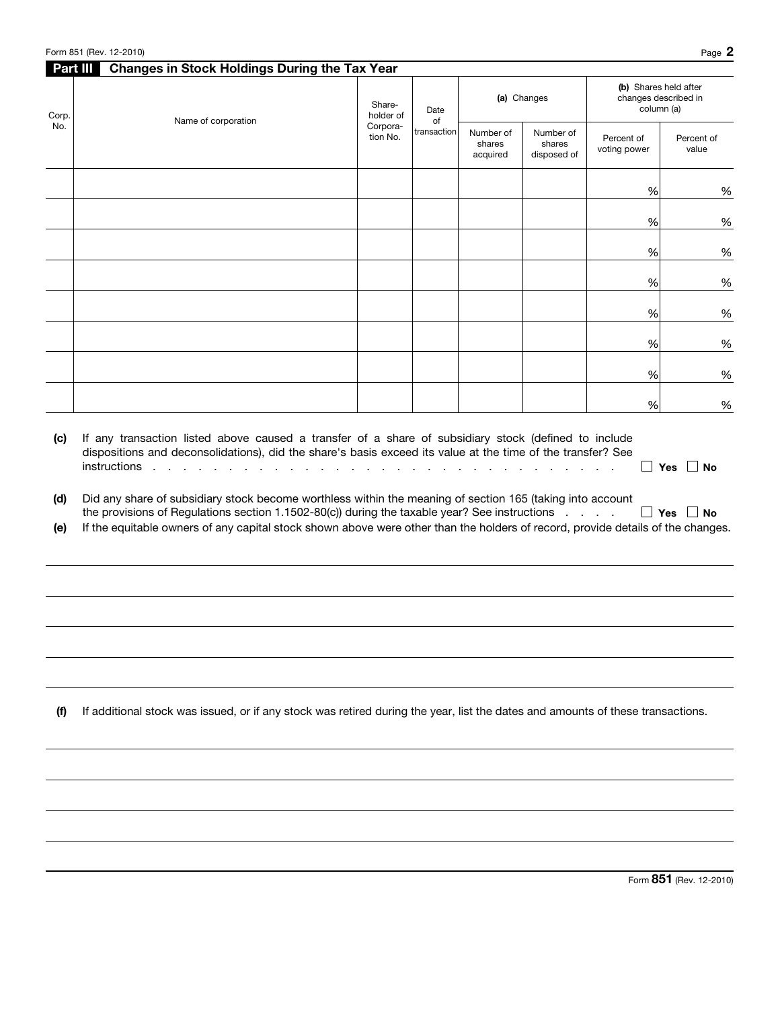|                   | Form 851 (Rev. 12-2010)                                                                                                                                                                                                                                                                                                                       |                                             |                           |                                 |                                    |                                                             | Page 2               |
|-------------------|-----------------------------------------------------------------------------------------------------------------------------------------------------------------------------------------------------------------------------------------------------------------------------------------------------------------------------------------------|---------------------------------------------|---------------------------|---------------------------------|------------------------------------|-------------------------------------------------------------|----------------------|
| Part III<br>Corp. | <b>Changes in Stock Holdings During the Tax Year</b><br>Name of corporation                                                                                                                                                                                                                                                                   | Share-<br>holder of<br>Corpora-<br>tion No. | Date<br>of<br>transaction | (a) Changes                     |                                    | (b) Shares held after<br>changes described in<br>column (a) |                      |
| No.               |                                                                                                                                                                                                                                                                                                                                               |                                             |                           | Number of<br>shares<br>acquired | Number of<br>shares<br>disposed of | Percent of<br>voting power                                  | Percent of<br>value  |
|                   |                                                                                                                                                                                                                                                                                                                                               |                                             |                           |                                 |                                    | %                                                           | %                    |
|                   |                                                                                                                                                                                                                                                                                                                                               |                                             |                           |                                 |                                    | $\%$                                                        | %                    |
|                   |                                                                                                                                                                                                                                                                                                                                               |                                             |                           |                                 |                                    | $\%$                                                        | $\%$                 |
|                   |                                                                                                                                                                                                                                                                                                                                               |                                             |                           |                                 |                                    | $\%$                                                        | $\%$                 |
|                   |                                                                                                                                                                                                                                                                                                                                               |                                             |                           |                                 |                                    | $\%$                                                        | %                    |
|                   |                                                                                                                                                                                                                                                                                                                                               |                                             |                           |                                 |                                    | $\%$                                                        | $\%$                 |
|                   |                                                                                                                                                                                                                                                                                                                                               |                                             |                           |                                 |                                    | $\%$                                                        | $\%$                 |
|                   |                                                                                                                                                                                                                                                                                                                                               |                                             |                           |                                 |                                    | $\%$                                                        | $\%$                 |
| (d)<br>(e)        | Did any share of subsidiary stock become worthless within the meaning of section 165 (taking into account<br>the provisions of Regulations section 1.1502-80(c)) during the taxable year? See instructions<br>If the equitable owners of any capital stock shown above were other than the holders of record, provide details of the changes. |                                             |                           |                                 |                                    |                                                             | $\Box$ Yes $\Box$ No |
| (f)               | If additional stock was issued, or if any stock was retired during the year, list the dates and amounts of these transactions.                                                                                                                                                                                                                |                                             |                           |                                 |                                    |                                                             |                      |
|                   |                                                                                                                                                                                                                                                                                                                                               |                                             |                           |                                 |                                    |                                                             |                      |
|                   |                                                                                                                                                                                                                                                                                                                                               |                                             |                           |                                 |                                    |                                                             |                      |
|                   |                                                                                                                                                                                                                                                                                                                                               |                                             |                           |                                 |                                    |                                                             |                      |

Form 851 (Rev. 12-2010)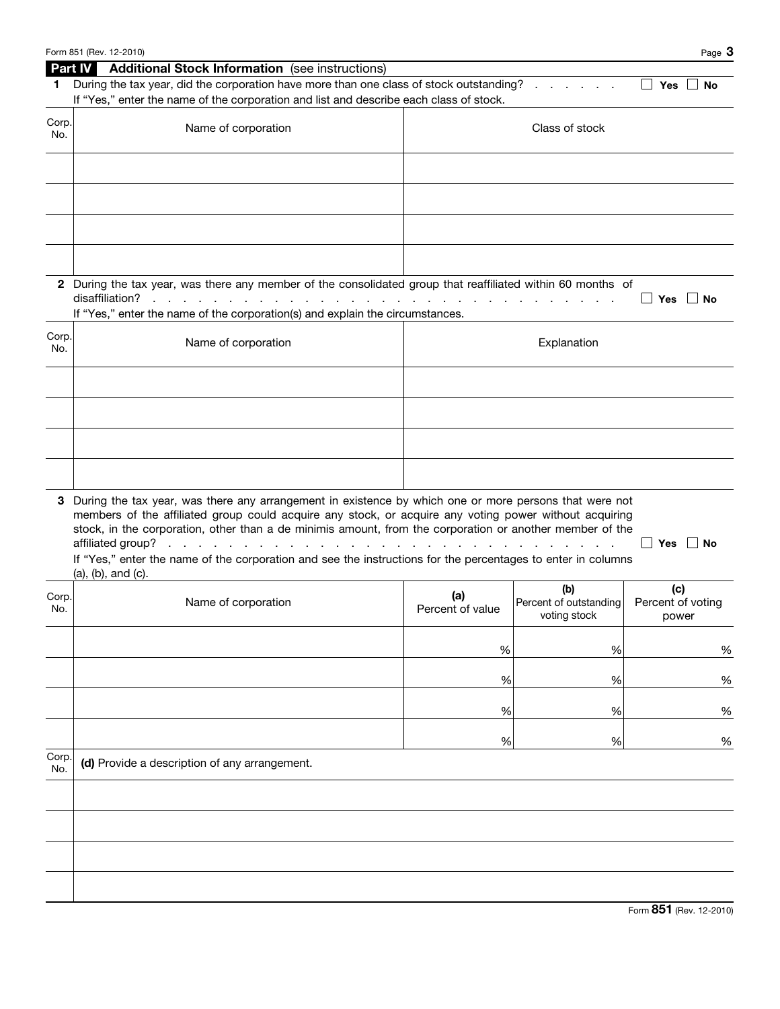|                | Form 851 (Rev. 12-2010)                                                                                      |                  |                               | Page 3                   |  |  |  |  |
|----------------|--------------------------------------------------------------------------------------------------------------|------------------|-------------------------------|--------------------------|--|--|--|--|
| <b>Part IV</b> | <b>Additional Stock Information</b> (see instructions)                                                       |                  |                               |                          |  |  |  |  |
| 1.             | During the tax year, did the corporation have more than one class of stock outstanding?                      |                  |                               | Yes<br>∣ No<br>$\Box$    |  |  |  |  |
|                | If "Yes," enter the name of the corporation and list and describe each class of stock.                       |                  |                               |                          |  |  |  |  |
| Corp.          |                                                                                                              |                  |                               |                          |  |  |  |  |
| No.            | Name of corporation                                                                                          | Class of stock   |                               |                          |  |  |  |  |
|                |                                                                                                              |                  |                               |                          |  |  |  |  |
|                |                                                                                                              |                  |                               |                          |  |  |  |  |
|                |                                                                                                              |                  |                               |                          |  |  |  |  |
|                |                                                                                                              |                  |                               |                          |  |  |  |  |
|                |                                                                                                              |                  |                               |                          |  |  |  |  |
|                |                                                                                                              |                  |                               |                          |  |  |  |  |
|                |                                                                                                              |                  |                               |                          |  |  |  |  |
|                |                                                                                                              |                  |                               |                          |  |  |  |  |
|                | 2 During the tax year, was there any member of the consolidated group that reaffiliated within 60 months of  |                  |                               |                          |  |  |  |  |
|                | disaffiliation?                                                                                              |                  |                               | ∐ Yes<br>∣ No            |  |  |  |  |
|                | If "Yes," enter the name of the corporation(s) and explain the circumstances.                                |                  |                               |                          |  |  |  |  |
| Corp.          |                                                                                                              |                  |                               |                          |  |  |  |  |
| No.            | Name of corporation                                                                                          |                  | Explanation                   |                          |  |  |  |  |
|                |                                                                                                              |                  |                               |                          |  |  |  |  |
|                |                                                                                                              |                  |                               |                          |  |  |  |  |
|                |                                                                                                              |                  |                               |                          |  |  |  |  |
|                |                                                                                                              |                  |                               |                          |  |  |  |  |
|                |                                                                                                              |                  |                               |                          |  |  |  |  |
|                |                                                                                                              |                  |                               |                          |  |  |  |  |
|                |                                                                                                              |                  |                               |                          |  |  |  |  |
|                |                                                                                                              |                  |                               |                          |  |  |  |  |
| 3              | During the tax year, was there any arrangement in existence by which one or more persons that were not       |                  |                               |                          |  |  |  |  |
|                | members of the affiliated group could acquire any stock, or acquire any voting power without acquiring       |                  |                               |                          |  |  |  |  |
|                | stock, in the corporation, other than a de minimis amount, from the corporation or another member of the     |                  |                               |                          |  |  |  |  |
|                | affiliated group?                                                                                            |                  |                               | <b>Yes</b><br>∣ No       |  |  |  |  |
|                | If "Yes," enter the name of the corporation and see the instructions for the percentages to enter in columns |                  |                               |                          |  |  |  |  |
|                | (a), (b), and (c).                                                                                           |                  |                               |                          |  |  |  |  |
| Corp.          | Name of corporation                                                                                          | (a)              | (b)<br>Percent of outstanding | (c)<br>Percent of voting |  |  |  |  |
| No.            |                                                                                                              | Percent of value | voting stock                  | power                    |  |  |  |  |
|                |                                                                                                              |                  |                               |                          |  |  |  |  |
|                |                                                                                                              | $\%$             | $\%$                          | $\%$                     |  |  |  |  |
|                |                                                                                                              |                  |                               |                          |  |  |  |  |
|                |                                                                                                              | $\%$             | $\%$                          | $\%$                     |  |  |  |  |
|                |                                                                                                              |                  |                               |                          |  |  |  |  |
|                |                                                                                                              | $\%$             | %                             | $\%$                     |  |  |  |  |
|                |                                                                                                              |                  |                               |                          |  |  |  |  |
|                |                                                                                                              | $\%$             | $\%$                          | $\%$                     |  |  |  |  |
| Corp.          | (d) Provide a description of any arrangement.                                                                |                  |                               |                          |  |  |  |  |
| No.            |                                                                                                              |                  |                               |                          |  |  |  |  |
|                |                                                                                                              |                  |                               |                          |  |  |  |  |
|                |                                                                                                              |                  |                               |                          |  |  |  |  |
|                |                                                                                                              |                  |                               |                          |  |  |  |  |
|                |                                                                                                              |                  |                               |                          |  |  |  |  |
|                |                                                                                                              |                  |                               |                          |  |  |  |  |
|                |                                                                                                              |                  |                               |                          |  |  |  |  |
|                |                                                                                                              |                  |                               |                          |  |  |  |  |
|                |                                                                                                              |                  |                               |                          |  |  |  |  |

Form 851 (Rev. 12-2010)